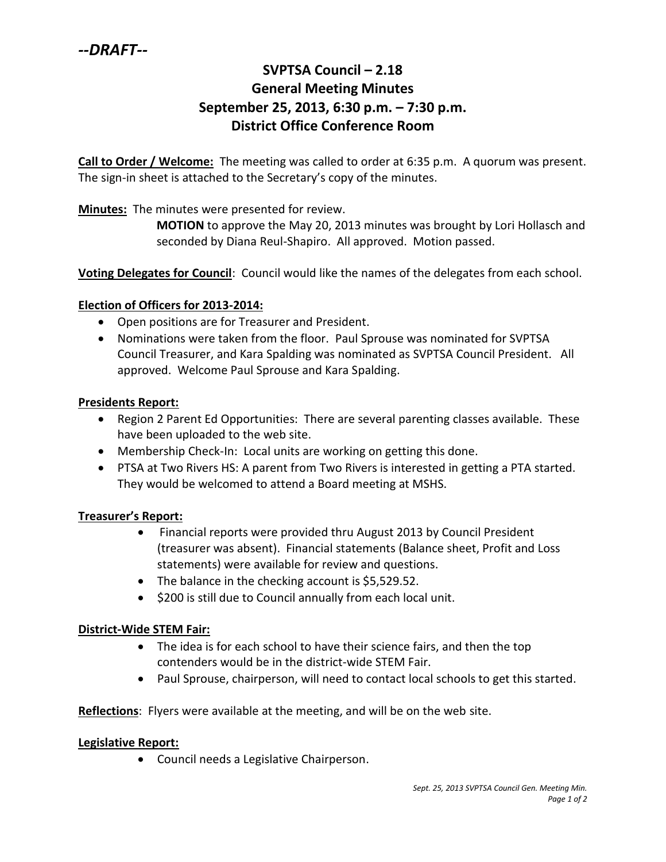# **SVPTSA Council – 2.18 General Meeting Minutes September 25, 2013, 6:30 p.m. – 7:30 p.m. District Office Conference Room**

**Call to Order / Welcome:** The meeting was called to order at 6:35 p.m. A quorum was present. The sign-in sheet is attached to the Secretary's copy of the minutes.

**Minutes:** The minutes were presented for review.

**MOTION** to approve the May 20, 2013 minutes was brought by Lori Hollasch and seconded by Diana Reul-Shapiro. All approved. Motion passed.

**Voting Delegates for Council**: Council would like the names of the delegates from each school.

#### **Election of Officers for 2013-2014:**

- Open positions are for Treasurer and President.
- Nominations were taken from the floor. Paul Sprouse was nominated for SVPTSA Council Treasurer, and Kara Spalding was nominated as SVPTSA Council President. All approved. Welcome Paul Sprouse and Kara Spalding.

#### **Presidents Report:**

- Region 2 Parent Ed Opportunities: There are several parenting classes available. These have been uploaded to the web site.
- Membership Check-In: Local units are working on getting this done.
- PTSA at Two Rivers HS: A parent from Two Rivers is interested in getting a PTA started. They would be welcomed to attend a Board meeting at MSHS.

#### **Treasurer's Report:**

- Financial reports were provided thru August 2013 by Council President (treasurer was absent). Financial statements (Balance sheet, Profit and Loss statements) were available for review and questions.
- The balance in the checking account is \$5,529.52.
- \$200 is still due to Council annually from each local unit.

#### **District-Wide STEM Fair:**

- The idea is for each school to have their science fairs, and then the top contenders would be in the district-wide STEM Fair.
- Paul Sprouse, chairperson, will need to contact local schools to get this started.

**Reflections**: Flyers were available at the meeting, and will be on the web site.

#### **Legislative Report:**

Council needs a Legislative Chairperson.